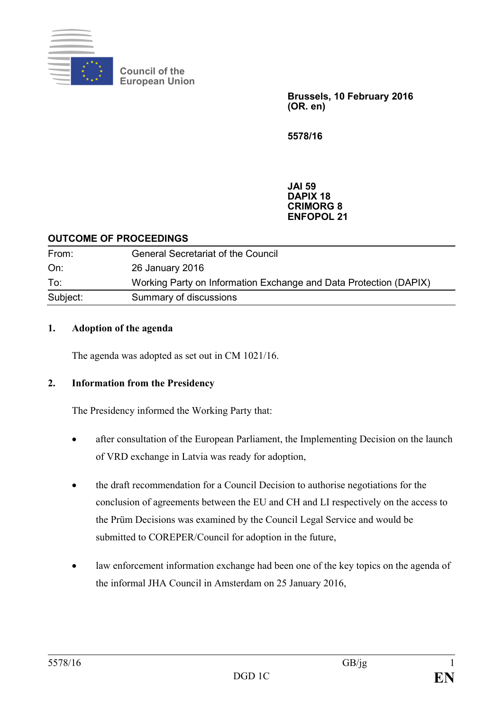

**Council of the European Union**

> **Brussels, 10 February 2016 (OR. en)**

**5578/16**

**JAI 59 DAPIX 18 CRIMORG 8 ENFOPOL 21**

#### **OUTCOME OF PROCEEDINGS**

| From:    | <b>General Secretariat of the Council</b>                         |
|----------|-------------------------------------------------------------------|
| On:      | 26 January 2016                                                   |
| To:      | Working Party on Information Exchange and Data Protection (DAPIX) |
| Subject: | Summary of discussions                                            |

#### **1. Adoption of the agenda**

The agenda was adopted as set out in CM 1021/16.

### **2. Information from the Presidency**

The Presidency informed the Working Party that:

- after consultation of the European Parliament, the Implementing Decision on the launch of VRD exchange in Latvia was ready for adoption,
- the draft recommendation for a Council Decision to authorise negotiations for the conclusion of agreements between the EU and CH and LI respectively on the access to the Prüm Decisions was examined by the Council Legal Service and would be submitted to COREPER/Council for adoption in the future,
- law enforcement information exchange had been one of the key topics on the agenda of the informal JHA Council in Amsterdam on 25 January 2016,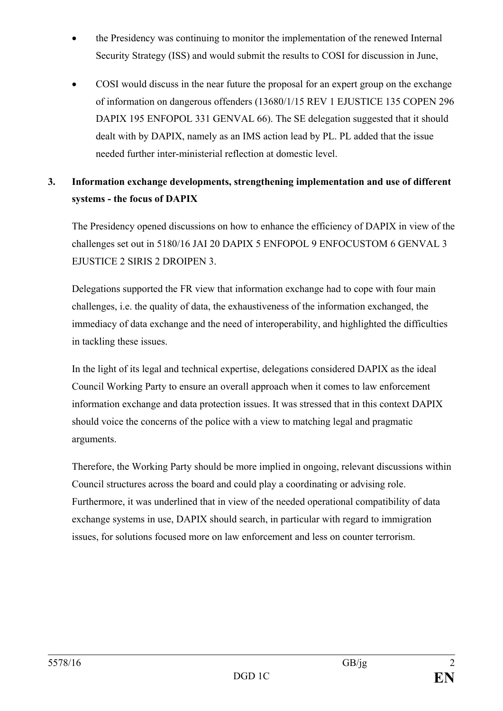- the Presidency was continuing to monitor the implementation of the renewed Internal Security Strategy (ISS) and would submit the results to COSI for discussion in June,
- COSI would discuss in the near future the proposal for an expert group on the exchange of information on dangerous offenders (13680/1/15 REV 1 EJUSTICE 135 COPEN 296 DAPIX 195 ENFOPOL 331 GENVAL 66). The SE delegation suggested that it should dealt with by DAPIX, namely as an IMS action lead by PL. PL added that the issue needed further inter-ministerial reflection at domestic level.

# **3. Information exchange developments, strengthening implementation and use of different systems - the focus of DAPIX**

The Presidency opened discussions on how to enhance the efficiency of DAPIX in view of the challenges set out in 5180/16 JAI 20 DAPIX 5 ENFOPOL 9 ENFOCUSTOM 6 GENVAL 3 EJUSTICE 2 SIRIS 2 DROIPEN 3.

Delegations supported the FR view that information exchange had to cope with four main challenges, i.e. the quality of data, the exhaustiveness of the information exchanged, the immediacy of data exchange and the need of interoperability, and highlighted the difficulties in tackling these issues.

In the light of its legal and technical expertise, delegations considered DAPIX as the ideal Council Working Party to ensure an overall approach when it comes to law enforcement information exchange and data protection issues. It was stressed that in this context DAPIX should voice the concerns of the police with a view to matching legal and pragmatic arguments.

Therefore, the Working Party should be more implied in ongoing, relevant discussions within Council structures across the board and could play a coordinating or advising role. Furthermore, it was underlined that in view of the needed operational compatibility of data exchange systems in use, DAPIX should search, in particular with regard to immigration issues, for solutions focused more on law enforcement and less on counter terrorism.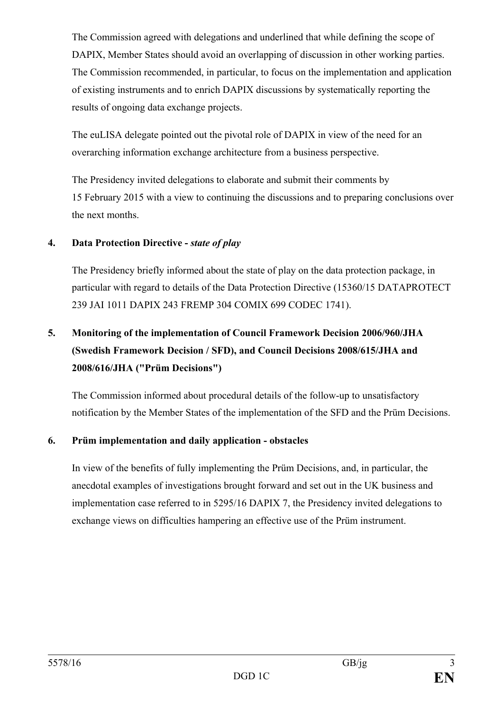The Commission agreed with delegations and underlined that while defining the scope of DAPIX, Member States should avoid an overlapping of discussion in other working parties. The Commission recommended, in particular, to focus on the implementation and application of existing instruments and to enrich DAPIX discussions by systematically reporting the results of ongoing data exchange projects.

The euLISA delegate pointed out the pivotal role of DAPIX in view of the need for an overarching information exchange architecture from a business perspective.

The Presidency invited delegations to elaborate and submit their comments by 15 February 2015 with a view to continuing the discussions and to preparing conclusions over the next months.

## **4. Data Protection Directive -** *state of play*

The Presidency briefly informed about the state of play on the data protection package, in particular with regard to details of the Data Protection Directive (15360/15 DATAPROTECT 239 JAI 1011 DAPIX 243 FREMP 304 COMIX 699 CODEC 1741).

# **5. Monitoring of the implementation of Council Framework Decision 2006/960/JHA (Swedish Framework Decision / SFD), and Council Decisions 2008/615/JHA and 2008/616/JHA ("Prüm Decisions")**

The Commission informed about procedural details of the follow-up to unsatisfactory notification by the Member States of the implementation of the SFD and the Prüm Decisions.

# **6. Prüm implementation and daily application - obstacles**

In view of the benefits of fully implementing the Prüm Decisions, and, in particular, the anecdotal examples of investigations brought forward and set out in the UK business and implementation case referred to in 5295/16 DAPIX 7, the Presidency invited delegations to exchange views on difficulties hampering an effective use of the Prüm instrument.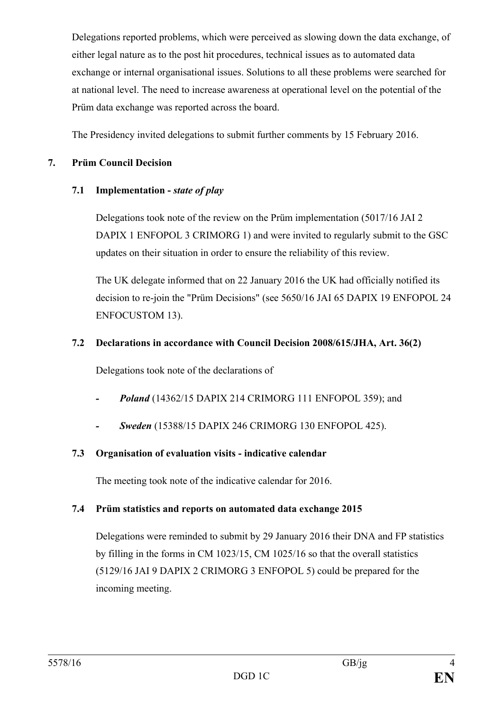Delegations reported problems, which were perceived as slowing down the data exchange, of either legal nature as to the post hit procedures, technical issues as to automated data exchange or internal organisational issues. Solutions to all these problems were searched for at national level. The need to increase awareness at operational level on the potential of the Prüm data exchange was reported across the board.

The Presidency invited delegations to submit further comments by 15 February 2016.

## **7. Prüm Council Decision**

# **7.1 Implementation -** *state of play*

Delegations took note of the review on the Prüm implementation (5017/16 JAI 2 DAPIX 1 ENFOPOL 3 CRIMORG 1) and were invited to regularly submit to the GSC updates on their situation in order to ensure the reliability of this review.

The UK delegate informed that on 22 January 2016 the UK had officially notified its decision to re-join the "Prüm Decisions" (see 5650/16 JAI 65 DAPIX 19 ENFOPOL 24 ENFOCUSTOM 13).

## **7.2 Declarations in accordance with Council Decision 2008/615/JHA, Art. 36(2)**

Delegations took note of the declarations of

- *- Poland* (14362/15 DAPIX 214 CRIMORG 111 ENFOPOL 359); and
- *- Sweden* (15388/15 DAPIX 246 CRIMORG 130 ENFOPOL 425).

# **7.3 Organisation of evaluation visits - indicative calendar**

The meeting took note of the indicative calendar for 2016.

# **7.4 Prüm statistics and reports on automated data exchange 2015**

Delegations were reminded to submit by 29 January 2016 their DNA and FP statistics by filling in the forms in CM 1023/15, CM 1025/16 so that the overall statistics (5129/16 JAI 9 DAPIX 2 CRIMORG 3 ENFOPOL 5) could be prepared for the incoming meeting.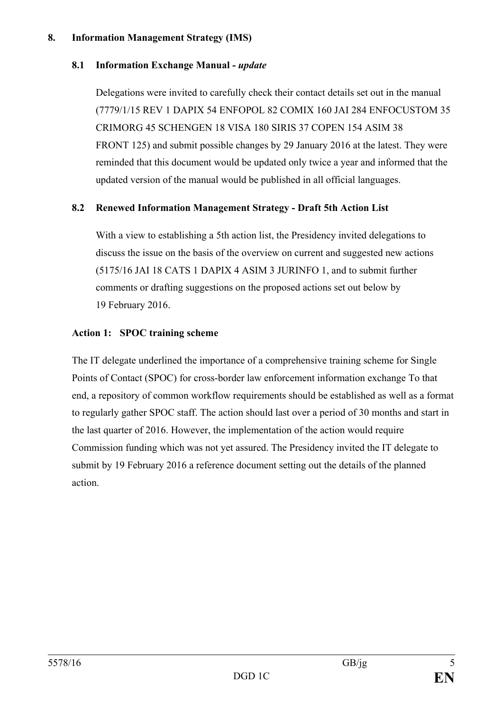#### **8. Information Management Strategy (IMS)**

#### **8.1 Information Exchange Manual -** *update*

Delegations were invited to carefully check their contact details set out in the manual (7779/1/15 REV 1 DAPIX 54 ENFOPOL 82 COMIX 160 JAI 284 ENFOCUSTOM 35 CRIMORG 45 SCHENGEN 18 VISA 180 SIRIS 37 COPEN 154 ASIM 38 FRONT 125) and submit possible changes by 29 January 2016 at the latest. They were reminded that this document would be updated only twice a year and informed that the updated version of the manual would be published in all official languages.

#### **8.2 Renewed Information Management Strategy - Draft 5th Action List**

With a view to establishing a 5th action list, the Presidency invited delegations to discuss the issue on the basis of the overview on current and suggested new actions (5175/16 JAI 18 CATS 1 DAPIX 4 ASIM 3 JURINFO 1, and to submit further comments or drafting suggestions on the proposed actions set out below by 19 February 2016.

#### **Action 1: SPOC training scheme**

The IT delegate underlined the importance of a comprehensive training scheme for Single Points of Contact (SPOC) for cross-border law enforcement information exchange To that end, a repository of common workflow requirements should be established as well as a format to regularly gather SPOC staff. The action should last over a period of 30 months and start in the last quarter of 2016. However, the implementation of the action would require Commission funding which was not yet assured. The Presidency invited the IT delegate to submit by 19 February 2016 a reference document setting out the details of the planned action.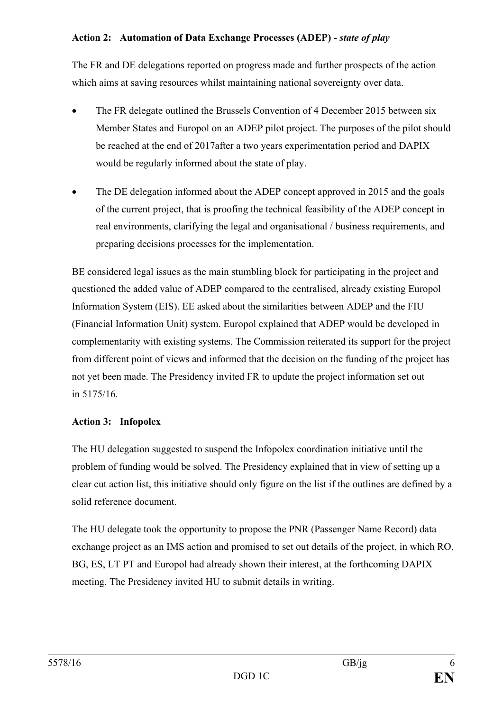## **Action 2: Automation of Data Exchange Processes (ADEP) -** *state of play*

The FR and DE delegations reported on progress made and further prospects of the action which aims at saving resources whilst maintaining national sovereignty over data.

- The FR delegate outlined the Brussels Convention of 4 December 2015 between six Member States and Europol on an ADEP pilot project. The purposes of the pilot should be reached at the end of 2017after a two years experimentation period and DAPIX would be regularly informed about the state of play.
- The DE delegation informed about the ADEP concept approved in 2015 and the goals of the current project, that is proofing the technical feasibility of the ADEP concept in real environments, clarifying the legal and organisational / business requirements, and preparing decisions processes for the implementation.

BE considered legal issues as the main stumbling block for participating in the project and questioned the added value of ADEP compared to the centralised, already existing Europol Information System (EIS). EE asked about the similarities between ADEP and the FIU (Financial Information Unit) system. Europol explained that ADEP would be developed in complementarity with existing systems. The Commission reiterated its support for the project from different point of views and informed that the decision on the funding of the project has not yet been made. The Presidency invited FR to update the project information set out in 5175/16.

# **Action 3: Infopolex**

The HU delegation suggested to suspend the Infopolex coordination initiative until the problem of funding would be solved. The Presidency explained that in view of setting up a clear cut action list, this initiative should only figure on the list if the outlines are defined by a solid reference document.

The HU delegate took the opportunity to propose the PNR (Passenger Name Record) data exchange project as an IMS action and promised to set out details of the project, in which RO, BG, ES, LT PT and Europol had already shown their interest, at the forthcoming DAPIX meeting. The Presidency invited HU to submit details in writing.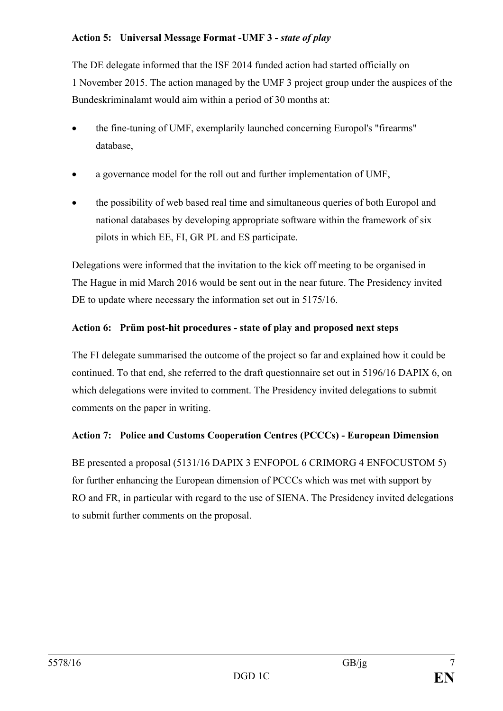## **Action 5: Universal Message Format -UMF 3 -** *state of play*

The DE delegate informed that the ISF 2014 funded action had started officially on 1 November 2015. The action managed by the UMF 3 project group under the auspices of the Bundeskriminalamt would aim within a period of 30 months at:

- the fine-tuning of UMF, exemplarily launched concerning Europol's "firearms" database,
- a governance model for the roll out and further implementation of UMF,
- the possibility of web based real time and simultaneous queries of both Europol and national databases by developing appropriate software within the framework of six pilots in which EE, FI, GR PL and ES participate.

Delegations were informed that the invitation to the kick off meeting to be organised in The Hague in mid March 2016 would be sent out in the near future. The Presidency invited DE to update where necessary the information set out in 5175/16.

# **Action 6: Prüm post-hit procedures - state of play and proposed next steps**

The FI delegate summarised the outcome of the project so far and explained how it could be continued. To that end, she referred to the draft questionnaire set out in 5196/16 DAPIX 6, on which delegations were invited to comment. The Presidency invited delegations to submit comments on the paper in writing.

# **Action 7: Police and Customs Cooperation Centres (PCCCs) - European Dimension**

BE presented a proposal (5131/16 DAPIX 3 ENFOPOL 6 CRIMORG 4 ENFOCUSTOM 5) for further enhancing the European dimension of PCCCs which was met with support by RO and FR, in particular with regard to the use of SIENA. The Presidency invited delegations to submit further comments on the proposal.